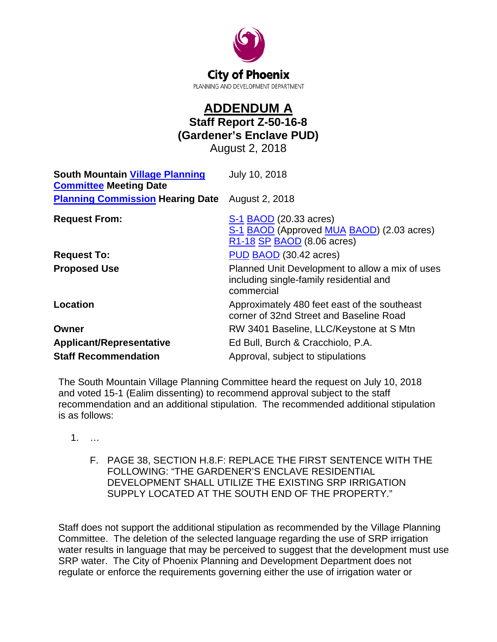

## **ADDENDUM A Staff Report Z-50-16-8 (Gardener's Enclave PUD)** August 2, 2018

| <b>South Mountain Village Planning</b><br><b>Committee Meeting Date</b> | July 10, 2018                                                                                            |
|-------------------------------------------------------------------------|----------------------------------------------------------------------------------------------------------|
| <b>Planning Commission Hearing Date</b>                                 | August 2, 2018                                                                                           |
| <b>Request From:</b>                                                    | S-1 BAOD (20.33 acres)<br>S-1 BAOD (Approved MUA BAOD) (2.03 acres)<br>R1-18 SP BAOD (8.06 acres)        |
| <b>Request To:</b>                                                      | PUD BAOD (30.42 acres)                                                                                   |
| <b>Proposed Use</b>                                                     | Planned Unit Development to allow a mix of uses<br>including single-family residential and<br>commercial |
| <b>Location</b>                                                         | Approximately 480 feet east of the southeast<br>corner of 32nd Street and Baseline Road                  |
| Owner                                                                   | RW 3401 Baseline, LLC/Keystone at S Mtn                                                                  |
| <b>Applicant/Representative</b>                                         | Ed Bull, Burch & Cracchiolo, P.A.                                                                        |
| <b>Staff Recommendation</b>                                             | Approval, subject to stipulations                                                                        |

The South Mountain Village Planning Committee heard the request on July 10, 2018 and voted 15-1 (Ealim dissenting) to recommend approval subject to the staff recommendation and an additional stipulation. The recommended additional stipulation is as follows:

- 1. …
	- F. PAGE 38, SECTION H.8.F: REPLACE THE FIRST SENTENCE WITH THE FOLLOWING: "THE GARDENER'S ENCLAVE RESIDENTIAL DEVELOPMENT SHALL UTILIZE THE EXISTING SRP IRRIGATION SUPPLY LOCATED AT THE SOUTH END OF THE PROPERTY."

Staff does not support the additional stipulation as recommended by the Village Planning Committee. The deletion of the selected language regarding the use of SRP irrigation water results in language that may be perceived to suggest that the development must use SRP water. The City of Phoenix Planning and Development Department does not regulate or enforce the requirements governing either the use of irrigation water or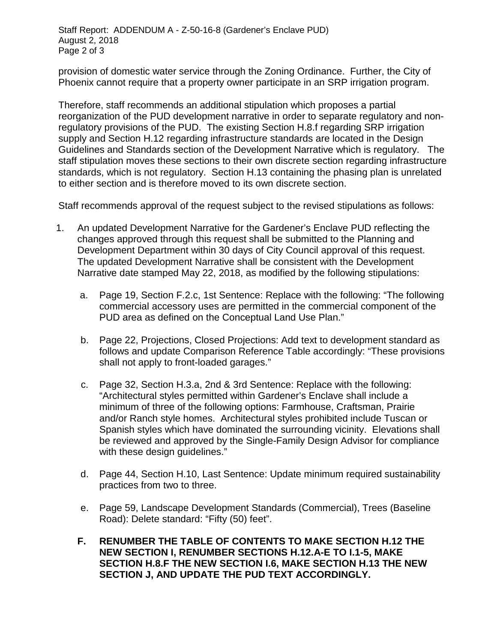provision of domestic water service through the Zoning Ordinance. Further, the City of Phoenix cannot require that a property owner participate in an SRP irrigation program.

Therefore, staff recommends an additional stipulation which proposes a partial reorganization of the PUD development narrative in order to separate regulatory and nonregulatory provisions of the PUD. The existing Section H.8.f regarding SRP irrigation supply and Section H.12 regarding infrastructure standards are located in the Design Guidelines and Standards section of the Development Narrative which is regulatory. The staff stipulation moves these sections to their own discrete section regarding infrastructure standards, which is not regulatory. Section H.13 containing the phasing plan is unrelated to either section and is therefore moved to its own discrete section.

Staff recommends approval of the request subject to the revised stipulations as follows:

- 1. An updated Development Narrative for the Gardener's Enclave PUD reflecting the changes approved through this request shall be submitted to the Planning and Development Department within 30 days of City Council approval of this request. The updated Development Narrative shall be consistent with the Development Narrative date stamped May 22, 2018, as modified by the following stipulations:
	- a. Page 19, Section F.2.c, 1st Sentence: Replace with the following: "The following commercial accessory uses are permitted in the commercial component of the PUD area as defined on the Conceptual Land Use Plan."
	- b. Page 22, Projections, Closed Projections: Add text to development standard as follows and update Comparison Reference Table accordingly: "These provisions shall not apply to front-loaded garages."
	- c. Page 32, Section H.3.a, 2nd & 3rd Sentence: Replace with the following: "Architectural styles permitted within Gardener's Enclave shall include a minimum of three of the following options: Farmhouse, Craftsman, Prairie and/or Ranch style homes. Architectural styles prohibited include Tuscan or Spanish styles which have dominated the surrounding vicinity. Elevations shall be reviewed and approved by the Single-Family Design Advisor for compliance with these design guidelines."
	- d. Page 44, Section H.10, Last Sentence: Update minimum required sustainability practices from two to three.
	- e. Page 59, Landscape Development Standards (Commercial), Trees (Baseline Road): Delete standard: "Fifty (50) feet".
	- **F. RENUMBER THE TABLE OF CONTENTS TO MAKE SECTION H.12 THE NEW SECTION I, RENUMBER SECTIONS H.12.A-E TO I.1-5, MAKE SECTION H.8.F THE NEW SECTION I.6, MAKE SECTION H.13 THE NEW SECTION J, AND UPDATE THE PUD TEXT ACCORDINGLY.**